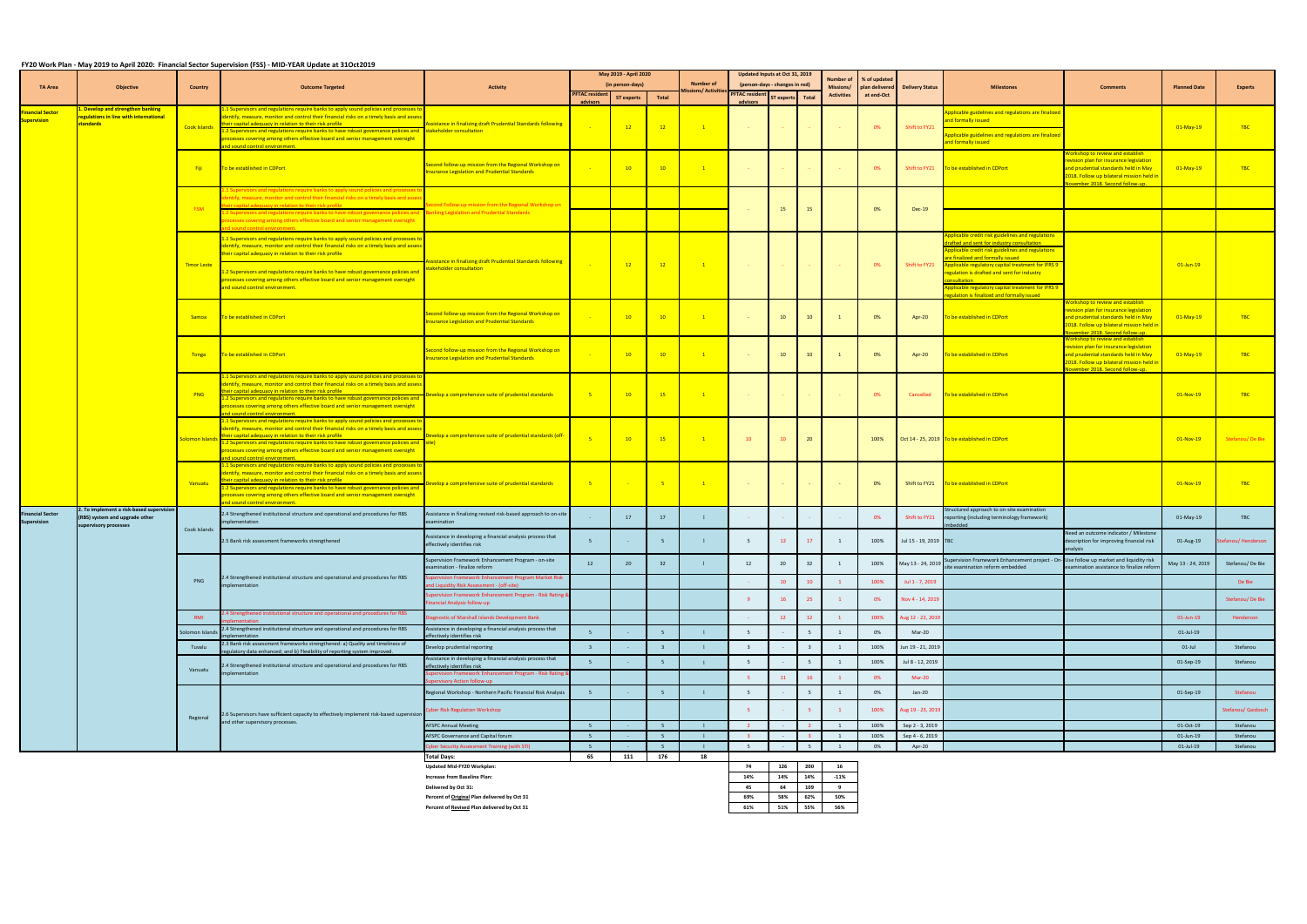## **FY20 Work Plan - May 2019 to April 2020: Financial Sector Supervision (FSS) - MID-YEAR Update at 31Oct2019**

| <b>Number of</b><br>(in person-days)<br>(person-days - changes in red)<br><b>TA Area</b><br><b>Activity</b><br>Missions/<br>plan delivered Delivery Status<br><b>Milestones</b><br><b>Objective</b><br><b>Outcome Targeted</b><br><b>Comments</b><br><b>Planned Date</b><br><b>Experts</b><br><b>Country</b><br>lissions/ Activitie:<br><sup>25</sup> PFTAC resident<br><b>PFTAC resident</b><br><b>Activities</b><br>at end-Oct<br>ST experts Total<br>Total<br><b>ST experts</b><br>advisors<br>advisors<br>1.1 Supervisors and regulations require banks to apply sound policies and processes to<br>L. Develop and strengthen banking<br>inancial Sector<br>Applicable guidelines and regulations are finalized<br>identify, measure, monitor and control their financial risks on a timely basis and assess<br>egulations in line with international<br>and formally issued<br>Supervision<br>standards<br>their capital adequacy in relation to their risk profile<br>Assistance in finalizing draft Prudential Standards following<br>Cook Islands<br><b>TBC</b><br>$\overline{1}$<br>0%<br>Shift to FY21<br>$-12$<br>$-12$<br>$01-May-19$<br><b>Contractor</b><br><b>Contract Contract</b><br>1.2 Supervisors and regulations require banks to have robust governance policies and stakeholder consultation<br>Applicable guidelines and regulations are finalized<br>processes covering among others effective board and senior management oversight<br>and formally issued<br>and sound control environment.<br>Norkshop to review and establish<br>revision plan for insurance legislation<br>Second follow-up mission from the Regional Workshop on<br>10<br>TBC<br>To be established in CDPort<br>$\overline{10}$<br>$\overline{1}$<br>0%<br>Shift to FY21 To be established in CDPort<br>and prudential standards held in May<br>$01$ -May-19<br>- Fiji<br><b>Contractor</b><br><b>Insurance Legislation and Prudential Standards</b><br>2018. Follow up bilateral mission held in<br>November 2018. Second follow-up.<br>1.1 Supervisors and regulations require banks to apply sound policies and processes to<br>dentify, measure, monitor and control their financial risks on a timely basis and asses<br>neir capital adequacy in relation to their risk profile and the control of the<br>econd Follow-up mission from the Regional Workshop on<br><b>FSM</b><br>15<br>15<br>0%<br>$Dec-19$<br>2 Supervisors and regulations require banks to have robust governance policies and<br>anking Legislation and Prudential Standards<br>processes covering among others effective board and senior management oversight<br>and sound control environment.<br>Applicable credit risk guidelines and regulations<br>1.1 Supervisors and regulations require banks to apply sound policies and processes to<br>drafted and sent for industry consultation<br>identify, measure, monitor and control their financial risks on a timely basis and assess<br>Applicable credit risk guidelines and regulations<br>their capital adequacy in relation to their risk profile<br>are finalized and formally issued<br>istance in finalizing draft Prudential Standards following<br>$\overline{12}$<br>$\overline{1}$<br>Shift to FY21<br>$01$ -Jun-19<br><b>Timor Leste</b><br>$\frac{12}{12}$<br>0%<br><b>Applicable regulatory capital treatment for IFRS 9</b><br><b>Contractor</b><br>the company of the company<br>takeholder consultation<br>1.2 Supervisors and regulations require banks to have robust governance policies and<br>regulation is drafted and sent for industry<br>processes covering among others effective board and senior management oversight<br><u>nsultation and the control of the control of the control of the control of the control of the control of the c</u><br>pplicable regulatory capital treatment for IFRS 9<br>and sound control environment.<br>egulation is finalized and formally issued<br>Workshop to review and establish<br>revision plan for insurance legislation<br>Second follow-up mission from the Regional Workshop on<br>TBC<br>10<br>10<br>0%<br>Samoa To be established in CDPort<br>$\overline{10}$<br>10 <sup>1</sup><br>To be established in CDPort<br>$01-May-19$<br>$\overline{1}$<br>Apr-20<br>and prudential standards held in May<br>nsurance Legislation and Prudential Standards<br>2018. Follow up bilateral mission held in<br>November 2018. Second follow-up.<br>Workshop to review and establish<br>revision plan for insurance legislation<br>Second follow-up mission from the Regional Workshop on<br>0%<br><b>TBC</b><br>10<br>10 <sup>1</sup><br>To be established in CDPort<br>Tonga To be established in CDPort<br>10 <sup>°</sup><br>$\overline{10}$<br>$\overline{1}$<br>Apr-20<br>and prudential standards held in May<br>$01$ -May-19<br>nsurance Legislation and Prudential Standards<br>2018. Follow up bilateral mission held in<br>November 2018. Second follow-up.<br>1.1 Supervisors and regulations require banks to apply sound policies and processes to<br>entify, measure, monitor and control their financial risks on a timely basis and assess<br>heir capital adequacy in relation to their risk profile<br>$01-Nov-19$<br>TBC<br><b>PNG</b><br>$-5$<br>$\overline{10}$<br>$-15$<br>$\mathbf{1}$<br>To be established in CDPort<br>evelop a comprehensive suite of prudential standards<br>0%<br>Cancelled<br>1.2 Supervisors and regulations require banks to have robust governance policies and<br>processes covering among others effective board and senior management oversight<br>and sound control environment.<br>1.1 Supervisors and regulations require banks to apply sound policies and processes to<br>identify, measure, monitor and control their financial risks on a timely basis and asses:<br>Develop a comprehensive suite of prudential standards (off-<br>their capital adequacy in relation to their risk profile<br>10<br>10<br>20<br>Oct 14 - 25, 2019 To be established in CDPort<br><mark>olomon Islar</mark><br>$-15$<br>$\overline{1}$<br>100%<br>$01-Nov-19$<br>- 10<br>$\frac{1}{2}$ 1.2 Supervisors and regulations require banks to have robust governance policies and $\frac{1}{2}$<br>processes covering among others effective board and senior management oversight<br>and sound control environment.<br>1.1 Supervisors and regulations require banks to apply sound policies and processes t<br>identify, measure, monitor and control their financial risks on a timely basis and assess<br>cheir capital adequacy in relation to their risk profile<br>TBC<br>$\overline{1}$<br>velop a comprehensive suite of prudential standards<br>$-5$<br>0%<br>Shift to FY21 To be established in CDPort<br>$01-Nov-19$<br><b>Vanuatu</b><br><b>Contract Contract</b><br>$\sim 10^{-10}$<br><b>Contract</b><br>$\sim 100$<br><b>Common</b><br>1.2 Supervisors and regulations require banks to have robust governance policies and<br>processes covering among others effective board and senior management oversight<br>and sound control environment.<br>2. To implement a risk-based supervisi<br>Structured approach to on-site examination<br>ssistance in finalizing revised risk-based approach to on-site<br>2.4 Strengthened institutional structure and operational and procedures for RBS<br>inancial Sector<br>17<br>Shift to FY21<br><b>TBC</b><br>0%<br>reporting (including terminology framework)<br>01-May-19<br>(RBS) system and upgrade other<br>17<br>Supervision<br>mplementation<br>examination<br>nbedded<br>supervisory processes<br>Cook Islands<br>Need an outcome indicator / Milestone<br>Assistance in developing a financial analysis process that<br>100%<br>Jul 15 - 19, 2019 TBC<br>description for improving financial risk<br>2.5 Bank risk assessment frameworks strengthened<br>12<br>01-Aug-19<br>effectively identifies risk<br>analysis<br>upervision Framework Enhancement Program - on-site<br>upervision Framework Enhancement project - On-Use follow up market and liquidity risk<br>12<br>May 13 - 24, 2019<br>May 13 - 24, 2019<br>Stefanou/De Bie<br>20<br>100%<br>20<br>32<br>32<br>-12<br>site examination reform embedded<br>examination - finalize reform<br>examination assistance to finalize reforr<br>2.4 Strengthened institutional structure and operational and procedures for RBS<br>pervision Framework Enhancement Program Market Risk<br><b>PNG</b><br>De Bie<br>100%<br>Jul 1 - 7, 2019<br>10<br>10<br>Ind Liquidity Risk Assessment - (off-site)<br>implementation<br>upervision Framework Enhancement Program - Risk Rating &<br>16<br>0%<br>Nov 4 - 14, 2019<br>inancial Analysis follow-up<br>2.4 Strengthened institutional structure and operational and procedures for RBS<br>iagnostic of Marshall Islands Development Bank<br>100%<br>Aug 12 - 22, 2019<br>Henderson<br><b>RMI</b><br>12<br><b>12</b><br>01-Jun-19<br>2.4 Strengthened institutional structure and operational and procedures for RBS<br>ssistance in developing a financial analysis process that<br>Mar-20<br>0%<br>01-Jul-19<br>Solomon Islands<br>$\sim$ $ \sim$<br>effectively identifies risk<br>mplementation<br>2.3 Bank risk assessment frameworks strengthened: a) Quality and timeliness of<br>Jun 19 - 21, 2019<br>Stefanou<br>100%<br>$01$ -Jul<br>Tuvalu<br>Develop prudential reporting<br>regulatory data enhanced; and b) Flexibility of reporting system improved.<br>ssistance in developing a financial analysis process that<br>100%<br>Jul 8 - 12, 2019<br>Stefanou<br>01-Sep-19<br>$\sim$ $ \sim$<br>1.4 Strengthened institutional structure and operational and procedures for RBS<br>ffectively identifies risk<br>Vanuatu<br>pervision Framework Enhancement Program - Risk Rating &<br>nplementation<br>11<br>16<br>Mar-20<br>0%<br>ervisory Action follow-up<br>Regional Workshop - Northern Pacific Financial Risk Analysis<br>$Jan-20$<br>Stefanou<br>01-Sep-19<br>0%<br>$\sim$ $-$<br>Aug 19 - 23, 2019<br><b>Cyber Risk Regulation Workshop</b><br>100%<br>Stefanou/ Gaidosch<br>2.6 Supervisors have sufficient capacity to effectively implement risk-based supervision<br>Regional<br>and other supervisory processes.<br>100%<br>Sep 2 - 3, 2019<br>Stefanou<br><b>AFSPC Annual Meeting</b><br>01-Oct-19<br>$\overline{2}$<br>$\sim 1000$<br>$\sim$<br>AFSPC Governance and Capital forum<br>100%<br>Sep 4 - 6, 2019<br>01-Jun-19<br>Stefanou<br>$\overline{\mathbf{3}}$<br>$\sim$ $ \sim$<br>$\sim 100$<br>Apr-20<br>5 <sup>5</sup><br>0%<br>01-Jul-19<br>Stefanou<br>Cyber Security Assessment Training (with STI)<br>$\sim$ $ \sim$<br>$\sim 100$<br>65<br>111<br>176<br><b>Total Days:</b><br>18 |  |  |  | $1 - 3$ . The company of the state $\alpha$ is the state of the state of the state $\alpha$ in the state $\alpha$ is a second state of the state of $\alpha$ |  |  | May 2019 - April 2020 |  | Updated Inputs at Oct 31, 2019 |  |  | <b>Number of</b> | % of updated |  |  |                    |  |
|------------------------------------------------------------------------------------------------------------------------------------------------------------------------------------------------------------------------------------------------------------------------------------------------------------------------------------------------------------------------------------------------------------------------------------------------------------------------------------------------------------------------------------------------------------------------------------------------------------------------------------------------------------------------------------------------------------------------------------------------------------------------------------------------------------------------------------------------------------------------------------------------------------------------------------------------------------------------------------------------------------------------------------------------------------------------------------------------------------------------------------------------------------------------------------------------------------------------------------------------------------------------------------------------------------------------------------------------------------------------------------------------------------------------------------------------------------------------------------------------------------------------------------------------------------------------------------------------------------------------------------------------------------------------------------------------------------------------------------------------------------------------------------------------------------------------------------------------------------------------------------------------------------------------------------------------------------------------------------------------------------------------------------------------------------------------------------------------------------------------------------------------------------------------------------------------------------------------------------------------------------------------------------------------------------------------------------------------------------------------------------------------------------------------------------------------------------------------------------------------------------------------------------------------------------------------------------------------------------------------------------------------------------------------------------------------------------------------------------------------------------------------------------------------------------------------------------------------------------------------------------------------------------------------------------------------------------------------------------------------------------------------------------------------------------------------------------------------------------------------------------------------------------------------------------------------------------------------------------------------------------------------------------------------------------------------------------------------------------------------------------------------------------------------------------------------------------------------------------------------------------------------------------------------------------------------------------------------------------------------------------------------------------------------------------------------------------------------------------------------------------------------------------------------------------------------------------------------------------------------------------------------------------------------------------------------------------------------------------------------------------------------------------------------------------------------------------------------------------------------------------------------------------------------------------------------------------------------------------------------------------------------------------------------------------------------------------------------------------------------------------------------------------------------------------------------------------------------------------------------------------------------------------------------------------------------------------------------------------------------------------------------------------------------------------------------------------------------------------------------------------------------------------------------------------------------------------------------------------------------------------------------------------------------------------------------------------------------------------------------------------------------------------------------------------------------------------------------------------------------------------------------------------------------------------------------------------------------------------------------------------------------------------------------------------------------------------------------------------------------------------------------------------------------------------------------------------------------------------------------------------------------------------------------------------------------------------------------------------------------------------------------------------------------------------------------------------------------------------------------------------------------------------------------------------------------------------------------------------------------------------------------------------------------------------------------------------------------------------------------------------------------------------------------------------------------------------------------------------------------------------------------------------------------------------------------------------------------------------------------------------------------------------------------------------------------------------------------------------------------------------------------------------------------------------------------------------------------------------------------------------------------------------------------------------------------------------------------------------------------------------------------------------------------------------------------------------------------------------------------------------------------------------------------------------------------------------------------------------------------------------------------------------------------------------------------------------------------------------------------------------------------------------------------------------------------------------------------------------------------------------------------------------------------------------------------------------------------------------------------------------------------------------------------------------------------------------------------------------------------------------------------------------------------------------------------------------------------------------------------------------------------------------------------------------------------------------------------------------------------------------------------------------------------------------------------------------------------------------------------------------------------------------------------------------------------------------------------------------------------------------------------------------------------------------------------------------------------------------------------------------------------------------------------------------------------------------------------------------------------------------------------------------------------------------------------------------------------------------------------------------------------------------------------------------------------------------------------------------------------------------------------------------------------------------------------------------------------------------------------------------------------------------------------------------------------------------------------------------------------------------------------------------------------------------------------------------------------------------------------------------------------------------------------------------------------------------------------------------------------------------------------------------------------------------------------------------------------------------------------------------------------------------------------------------------------------------------------------------------------------------------------------------------------------------------------------------------------------------------------------------------------------------------------------------------------------------------------------------------------------------------------------------------------------------------------------------------------------------------------------------------------------------------------------------------------------------------------------------------------------------------------------------------------------------------------------------------------------------------------------------------------------------------------------------------------------------------------------------------------------------------------------------------------------------------------------------------------------------------------------------------------------------------------------------------------------------------------------------------------------------------------------------------------------------------------------------------------------------------------------------------------------------------------------------------------------------------------------------------------------------------------------------------------------------------------------------------------------------------------------------------------------------------------------------------------------------------------------------------------------------------------------------------------------------------------------------------------------------|--|--|--|--------------------------------------------------------------------------------------------------------------------------------------------------------------|--|--|-----------------------|--|--------------------------------|--|--|------------------|--------------|--|--|--------------------|--|
|                                                                                                                                                                                                                                                                                                                                                                                                                                                                                                                                                                                                                                                                                                                                                                                                                                                                                                                                                                                                                                                                                                                                                                                                                                                                                                                                                                                                                                                                                                                                                                                                                                                                                                                                                                                                                                                                                                                                                                                                                                                                                                                                                                                                                                                                                                                                                                                                                                                                                                                                                                                                                                                                                                                                                                                                                                                                                                                                                                                                                                                                                                                                                                                                                                                                                                                                                                                                                                                                                                                                                                                                                                                                                                                                                                                                                                                                                                                                                                                                                                                                                                                                                                                                                                                                                                                                                                                                                                                                                                                                                                                                                                                                                                                                                                                                                                                                                                                                                                                                                                                                                                                                                                                                                                                                                                                                                                                                                                                                                                                                                                                                                                                                                                                                                                                                                                                                                                                                                                                                                                                                                                                                                                                                                                                                                                                                                                                                                                                                                                                                                                                                                                                                                                                                                                                                                                                                                                                                                                                                                                                                                                                                                                                                                                                                                                                                                                                                                                                                                                                                                                                                                                                                                                                                                                                                                                                                                                                                                                                                                                                                                                                                                                                                                                                                                                                                                                                                                                                                                                                                                                                                                                                                                                                                                                                                                                                                                                                                                                                                                                                                                                                                                                                                                                                                                                                                                                                                                                                                                                                                                                                                                                                                                                                                                                                                                                                                                                                                                                                                                                                                                                                                                                                                                                                                                                                                                                                                                                                                                                                                                                                                                                                                                                                                    |  |  |  |                                                                                                                                                              |  |  |                       |  |                                |  |  |                  |              |  |  |                    |  |
|                                                                                                                                                                                                                                                                                                                                                                                                                                                                                                                                                                                                                                                                                                                                                                                                                                                                                                                                                                                                                                                                                                                                                                                                                                                                                                                                                                                                                                                                                                                                                                                                                                                                                                                                                                                                                                                                                                                                                                                                                                                                                                                                                                                                                                                                                                                                                                                                                                                                                                                                                                                                                                                                                                                                                                                                                                                                                                                                                                                                                                                                                                                                                                                                                                                                                                                                                                                                                                                                                                                                                                                                                                                                                                                                                                                                                                                                                                                                                                                                                                                                                                                                                                                                                                                                                                                                                                                                                                                                                                                                                                                                                                                                                                                                                                                                                                                                                                                                                                                                                                                                                                                                                                                                                                                                                                                                                                                                                                                                                                                                                                                                                                                                                                                                                                                                                                                                                                                                                                                                                                                                                                                                                                                                                                                                                                                                                                                                                                                                                                                                                                                                                                                                                                                                                                                                                                                                                                                                                                                                                                                                                                                                                                                                                                                                                                                                                                                                                                                                                                                                                                                                                                                                                                                                                                                                                                                                                                                                                                                                                                                                                                                                                                                                                                                                                                                                                                                                                                                                                                                                                                                                                                                                                                                                                                                                                                                                                                                                                                                                                                                                                                                                                                                                                                                                                                                                                                                                                                                                                                                                                                                                                                                                                                                                                                                                                                                                                                                                                                                                                                                                                                                                                                                                                                                                                                                                                                                                                                                                                                                                                                                                                                                                                                                                    |  |  |  |                                                                                                                                                              |  |  |                       |  |                                |  |  |                  |              |  |  |                    |  |
|                                                                                                                                                                                                                                                                                                                                                                                                                                                                                                                                                                                                                                                                                                                                                                                                                                                                                                                                                                                                                                                                                                                                                                                                                                                                                                                                                                                                                                                                                                                                                                                                                                                                                                                                                                                                                                                                                                                                                                                                                                                                                                                                                                                                                                                                                                                                                                                                                                                                                                                                                                                                                                                                                                                                                                                                                                                                                                                                                                                                                                                                                                                                                                                                                                                                                                                                                                                                                                                                                                                                                                                                                                                                                                                                                                                                                                                                                                                                                                                                                                                                                                                                                                                                                                                                                                                                                                                                                                                                                                                                                                                                                                                                                                                                                                                                                                                                                                                                                                                                                                                                                                                                                                                                                                                                                                                                                                                                                                                                                                                                                                                                                                                                                                                                                                                                                                                                                                                                                                                                                                                                                                                                                                                                                                                                                                                                                                                                                                                                                                                                                                                                                                                                                                                                                                                                                                                                                                                                                                                                                                                                                                                                                                                                                                                                                                                                                                                                                                                                                                                                                                                                                                                                                                                                                                                                                                                                                                                                                                                                                                                                                                                                                                                                                                                                                                                                                                                                                                                                                                                                                                                                                                                                                                                                                                                                                                                                                                                                                                                                                                                                                                                                                                                                                                                                                                                                                                                                                                                                                                                                                                                                                                                                                                                                                                                                                                                                                                                                                                                                                                                                                                                                                                                                                                                                                                                                                                                                                                                                                                                                                                                                                                                                                                                                    |  |  |  |                                                                                                                                                              |  |  |                       |  |                                |  |  |                  |              |  |  |                    |  |
|                                                                                                                                                                                                                                                                                                                                                                                                                                                                                                                                                                                                                                                                                                                                                                                                                                                                                                                                                                                                                                                                                                                                                                                                                                                                                                                                                                                                                                                                                                                                                                                                                                                                                                                                                                                                                                                                                                                                                                                                                                                                                                                                                                                                                                                                                                                                                                                                                                                                                                                                                                                                                                                                                                                                                                                                                                                                                                                                                                                                                                                                                                                                                                                                                                                                                                                                                                                                                                                                                                                                                                                                                                                                                                                                                                                                                                                                                                                                                                                                                                                                                                                                                                                                                                                                                                                                                                                                                                                                                                                                                                                                                                                                                                                                                                                                                                                                                                                                                                                                                                                                                                                                                                                                                                                                                                                                                                                                                                                                                                                                                                                                                                                                                                                                                                                                                                                                                                                                                                                                                                                                                                                                                                                                                                                                                                                                                                                                                                                                                                                                                                                                                                                                                                                                                                                                                                                                                                                                                                                                                                                                                                                                                                                                                                                                                                                                                                                                                                                                                                                                                                                                                                                                                                                                                                                                                                                                                                                                                                                                                                                                                                                                                                                                                                                                                                                                                                                                                                                                                                                                                                                                                                                                                                                                                                                                                                                                                                                                                                                                                                                                                                                                                                                                                                                                                                                                                                                                                                                                                                                                                                                                                                                                                                                                                                                                                                                                                                                                                                                                                                                                                                                                                                                                                                                                                                                                                                                                                                                                                                                                                                                                                                                                                                                                    |  |  |  |                                                                                                                                                              |  |  |                       |  |                                |  |  |                  |              |  |  |                    |  |
|                                                                                                                                                                                                                                                                                                                                                                                                                                                                                                                                                                                                                                                                                                                                                                                                                                                                                                                                                                                                                                                                                                                                                                                                                                                                                                                                                                                                                                                                                                                                                                                                                                                                                                                                                                                                                                                                                                                                                                                                                                                                                                                                                                                                                                                                                                                                                                                                                                                                                                                                                                                                                                                                                                                                                                                                                                                                                                                                                                                                                                                                                                                                                                                                                                                                                                                                                                                                                                                                                                                                                                                                                                                                                                                                                                                                                                                                                                                                                                                                                                                                                                                                                                                                                                                                                                                                                                                                                                                                                                                                                                                                                                                                                                                                                                                                                                                                                                                                                                                                                                                                                                                                                                                                                                                                                                                                                                                                                                                                                                                                                                                                                                                                                                                                                                                                                                                                                                                                                                                                                                                                                                                                                                                                                                                                                                                                                                                                                                                                                                                                                                                                                                                                                                                                                                                                                                                                                                                                                                                                                                                                                                                                                                                                                                                                                                                                                                                                                                                                                                                                                                                                                                                                                                                                                                                                                                                                                                                                                                                                                                                                                                                                                                                                                                                                                                                                                                                                                                                                                                                                                                                                                                                                                                                                                                                                                                                                                                                                                                                                                                                                                                                                                                                                                                                                                                                                                                                                                                                                                                                                                                                                                                                                                                                                                                                                                                                                                                                                                                                                                                                                                                                                                                                                                                                                                                                                                                                                                                                                                                                                                                                                                                                                                                                                    |  |  |  |                                                                                                                                                              |  |  |                       |  |                                |  |  |                  |              |  |  |                    |  |
|                                                                                                                                                                                                                                                                                                                                                                                                                                                                                                                                                                                                                                                                                                                                                                                                                                                                                                                                                                                                                                                                                                                                                                                                                                                                                                                                                                                                                                                                                                                                                                                                                                                                                                                                                                                                                                                                                                                                                                                                                                                                                                                                                                                                                                                                                                                                                                                                                                                                                                                                                                                                                                                                                                                                                                                                                                                                                                                                                                                                                                                                                                                                                                                                                                                                                                                                                                                                                                                                                                                                                                                                                                                                                                                                                                                                                                                                                                                                                                                                                                                                                                                                                                                                                                                                                                                                                                                                                                                                                                                                                                                                                                                                                                                                                                                                                                                                                                                                                                                                                                                                                                                                                                                                                                                                                                                                                                                                                                                                                                                                                                                                                                                                                                                                                                                                                                                                                                                                                                                                                                                                                                                                                                                                                                                                                                                                                                                                                                                                                                                                                                                                                                                                                                                                                                                                                                                                                                                                                                                                                                                                                                                                                                                                                                                                                                                                                                                                                                                                                                                                                                                                                                                                                                                                                                                                                                                                                                                                                                                                                                                                                                                                                                                                                                                                                                                                                                                                                                                                                                                                                                                                                                                                                                                                                                                                                                                                                                                                                                                                                                                                                                                                                                                                                                                                                                                                                                                                                                                                                                                                                                                                                                                                                                                                                                                                                                                                                                                                                                                                                                                                                                                                                                                                                                                                                                                                                                                                                                                                                                                                                                                                                                                                                                                                    |  |  |  |                                                                                                                                                              |  |  |                       |  |                                |  |  |                  |              |  |  |                    |  |
|                                                                                                                                                                                                                                                                                                                                                                                                                                                                                                                                                                                                                                                                                                                                                                                                                                                                                                                                                                                                                                                                                                                                                                                                                                                                                                                                                                                                                                                                                                                                                                                                                                                                                                                                                                                                                                                                                                                                                                                                                                                                                                                                                                                                                                                                                                                                                                                                                                                                                                                                                                                                                                                                                                                                                                                                                                                                                                                                                                                                                                                                                                                                                                                                                                                                                                                                                                                                                                                                                                                                                                                                                                                                                                                                                                                                                                                                                                                                                                                                                                                                                                                                                                                                                                                                                                                                                                                                                                                                                                                                                                                                                                                                                                                                                                                                                                                                                                                                                                                                                                                                                                                                                                                                                                                                                                                                                                                                                                                                                                                                                                                                                                                                                                                                                                                                                                                                                                                                                                                                                                                                                                                                                                                                                                                                                                                                                                                                                                                                                                                                                                                                                                                                                                                                                                                                                                                                                                                                                                                                                                                                                                                                                                                                                                                                                                                                                                                                                                                                                                                                                                                                                                                                                                                                                                                                                                                                                                                                                                                                                                                                                                                                                                                                                                                                                                                                                                                                                                                                                                                                                                                                                                                                                                                                                                                                                                                                                                                                                                                                                                                                                                                                                                                                                                                                                                                                                                                                                                                                                                                                                                                                                                                                                                                                                                                                                                                                                                                                                                                                                                                                                                                                                                                                                                                                                                                                                                                                                                                                                                                                                                                                                                                                                                                                    |  |  |  |                                                                                                                                                              |  |  |                       |  |                                |  |  |                  |              |  |  |                    |  |
|                                                                                                                                                                                                                                                                                                                                                                                                                                                                                                                                                                                                                                                                                                                                                                                                                                                                                                                                                                                                                                                                                                                                                                                                                                                                                                                                                                                                                                                                                                                                                                                                                                                                                                                                                                                                                                                                                                                                                                                                                                                                                                                                                                                                                                                                                                                                                                                                                                                                                                                                                                                                                                                                                                                                                                                                                                                                                                                                                                                                                                                                                                                                                                                                                                                                                                                                                                                                                                                                                                                                                                                                                                                                                                                                                                                                                                                                                                                                                                                                                                                                                                                                                                                                                                                                                                                                                                                                                                                                                                                                                                                                                                                                                                                                                                                                                                                                                                                                                                                                                                                                                                                                                                                                                                                                                                                                                                                                                                                                                                                                                                                                                                                                                                                                                                                                                                                                                                                                                                                                                                                                                                                                                                                                                                                                                                                                                                                                                                                                                                                                                                                                                                                                                                                                                                                                                                                                                                                                                                                                                                                                                                                                                                                                                                                                                                                                                                                                                                                                                                                                                                                                                                                                                                                                                                                                                                                                                                                                                                                                                                                                                                                                                                                                                                                                                                                                                                                                                                                                                                                                                                                                                                                                                                                                                                                                                                                                                                                                                                                                                                                                                                                                                                                                                                                                                                                                                                                                                                                                                                                                                                                                                                                                                                                                                                                                                                                                                                                                                                                                                                                                                                                                                                                                                                                                                                                                                                                                                                                                                                                                                                                                                                                                                                                                    |  |  |  |                                                                                                                                                              |  |  |                       |  |                                |  |  |                  |              |  |  |                    |  |
|                                                                                                                                                                                                                                                                                                                                                                                                                                                                                                                                                                                                                                                                                                                                                                                                                                                                                                                                                                                                                                                                                                                                                                                                                                                                                                                                                                                                                                                                                                                                                                                                                                                                                                                                                                                                                                                                                                                                                                                                                                                                                                                                                                                                                                                                                                                                                                                                                                                                                                                                                                                                                                                                                                                                                                                                                                                                                                                                                                                                                                                                                                                                                                                                                                                                                                                                                                                                                                                                                                                                                                                                                                                                                                                                                                                                                                                                                                                                                                                                                                                                                                                                                                                                                                                                                                                                                                                                                                                                                                                                                                                                                                                                                                                                                                                                                                                                                                                                                                                                                                                                                                                                                                                                                                                                                                                                                                                                                                                                                                                                                                                                                                                                                                                                                                                                                                                                                                                                                                                                                                                                                                                                                                                                                                                                                                                                                                                                                                                                                                                                                                                                                                                                                                                                                                                                                                                                                                                                                                                                                                                                                                                                                                                                                                                                                                                                                                                                                                                                                                                                                                                                                                                                                                                                                                                                                                                                                                                                                                                                                                                                                                                                                                                                                                                                                                                                                                                                                                                                                                                                                                                                                                                                                                                                                                                                                                                                                                                                                                                                                                                                                                                                                                                                                                                                                                                                                                                                                                                                                                                                                                                                                                                                                                                                                                                                                                                                                                                                                                                                                                                                                                                                                                                                                                                                                                                                                                                                                                                                                                                                                                                                                                                                                                                                    |  |  |  |                                                                                                                                                              |  |  |                       |  |                                |  |  |                  |              |  |  |                    |  |
|                                                                                                                                                                                                                                                                                                                                                                                                                                                                                                                                                                                                                                                                                                                                                                                                                                                                                                                                                                                                                                                                                                                                                                                                                                                                                                                                                                                                                                                                                                                                                                                                                                                                                                                                                                                                                                                                                                                                                                                                                                                                                                                                                                                                                                                                                                                                                                                                                                                                                                                                                                                                                                                                                                                                                                                                                                                                                                                                                                                                                                                                                                                                                                                                                                                                                                                                                                                                                                                                                                                                                                                                                                                                                                                                                                                                                                                                                                                                                                                                                                                                                                                                                                                                                                                                                                                                                                                                                                                                                                                                                                                                                                                                                                                                                                                                                                                                                                                                                                                                                                                                                                                                                                                                                                                                                                                                                                                                                                                                                                                                                                                                                                                                                                                                                                                                                                                                                                                                                                                                                                                                                                                                                                                                                                                                                                                                                                                                                                                                                                                                                                                                                                                                                                                                                                                                                                                                                                                                                                                                                                                                                                                                                                                                                                                                                                                                                                                                                                                                                                                                                                                                                                                                                                                                                                                                                                                                                                                                                                                                                                                                                                                                                                                                                                                                                                                                                                                                                                                                                                                                                                                                                                                                                                                                                                                                                                                                                                                                                                                                                                                                                                                                                                                                                                                                                                                                                                                                                                                                                                                                                                                                                                                                                                                                                                                                                                                                                                                                                                                                                                                                                                                                                                                                                                                                                                                                                                                                                                                                                                                                                                                                                                                                                                                                    |  |  |  |                                                                                                                                                              |  |  |                       |  |                                |  |  |                  |              |  |  |                    |  |
|                                                                                                                                                                                                                                                                                                                                                                                                                                                                                                                                                                                                                                                                                                                                                                                                                                                                                                                                                                                                                                                                                                                                                                                                                                                                                                                                                                                                                                                                                                                                                                                                                                                                                                                                                                                                                                                                                                                                                                                                                                                                                                                                                                                                                                                                                                                                                                                                                                                                                                                                                                                                                                                                                                                                                                                                                                                                                                                                                                                                                                                                                                                                                                                                                                                                                                                                                                                                                                                                                                                                                                                                                                                                                                                                                                                                                                                                                                                                                                                                                                                                                                                                                                                                                                                                                                                                                                                                                                                                                                                                                                                                                                                                                                                                                                                                                                                                                                                                                                                                                                                                                                                                                                                                                                                                                                                                                                                                                                                                                                                                                                                                                                                                                                                                                                                                                                                                                                                                                                                                                                                                                                                                                                                                                                                                                                                                                                                                                                                                                                                                                                                                                                                                                                                                                                                                                                                                                                                                                                                                                                                                                                                                                                                                                                                                                                                                                                                                                                                                                                                                                                                                                                                                                                                                                                                                                                                                                                                                                                                                                                                                                                                                                                                                                                                                                                                                                                                                                                                                                                                                                                                                                                                                                                                                                                                                                                                                                                                                                                                                                                                                                                                                                                                                                                                                                                                                                                                                                                                                                                                                                                                                                                                                                                                                                                                                                                                                                                                                                                                                                                                                                                                                                                                                                                                                                                                                                                                                                                                                                                                                                                                                                                                                                                                                    |  |  |  |                                                                                                                                                              |  |  |                       |  |                                |  |  |                  |              |  |  |                    |  |
|                                                                                                                                                                                                                                                                                                                                                                                                                                                                                                                                                                                                                                                                                                                                                                                                                                                                                                                                                                                                                                                                                                                                                                                                                                                                                                                                                                                                                                                                                                                                                                                                                                                                                                                                                                                                                                                                                                                                                                                                                                                                                                                                                                                                                                                                                                                                                                                                                                                                                                                                                                                                                                                                                                                                                                                                                                                                                                                                                                                                                                                                                                                                                                                                                                                                                                                                                                                                                                                                                                                                                                                                                                                                                                                                                                                                                                                                                                                                                                                                                                                                                                                                                                                                                                                                                                                                                                                                                                                                                                                                                                                                                                                                                                                                                                                                                                                                                                                                                                                                                                                                                                                                                                                                                                                                                                                                                                                                                                                                                                                                                                                                                                                                                                                                                                                                                                                                                                                                                                                                                                                                                                                                                                                                                                                                                                                                                                                                                                                                                                                                                                                                                                                                                                                                                                                                                                                                                                                                                                                                                                                                                                                                                                                                                                                                                                                                                                                                                                                                                                                                                                                                                                                                                                                                                                                                                                                                                                                                                                                                                                                                                                                                                                                                                                                                                                                                                                                                                                                                                                                                                                                                                                                                                                                                                                                                                                                                                                                                                                                                                                                                                                                                                                                                                                                                                                                                                                                                                                                                                                                                                                                                                                                                                                                                                                                                                                                                                                                                                                                                                                                                                                                                                                                                                                                                                                                                                                                                                                                                                                                                                                                                                                                                                                                                    |  |  |  |                                                                                                                                                              |  |  |                       |  |                                |  |  |                  |              |  |  |                    |  |
|                                                                                                                                                                                                                                                                                                                                                                                                                                                                                                                                                                                                                                                                                                                                                                                                                                                                                                                                                                                                                                                                                                                                                                                                                                                                                                                                                                                                                                                                                                                                                                                                                                                                                                                                                                                                                                                                                                                                                                                                                                                                                                                                                                                                                                                                                                                                                                                                                                                                                                                                                                                                                                                                                                                                                                                                                                                                                                                                                                                                                                                                                                                                                                                                                                                                                                                                                                                                                                                                                                                                                                                                                                                                                                                                                                                                                                                                                                                                                                                                                                                                                                                                                                                                                                                                                                                                                                                                                                                                                                                                                                                                                                                                                                                                                                                                                                                                                                                                                                                                                                                                                                                                                                                                                                                                                                                                                                                                                                                                                                                                                                                                                                                                                                                                                                                                                                                                                                                                                                                                                                                                                                                                                                                                                                                                                                                                                                                                                                                                                                                                                                                                                                                                                                                                                                                                                                                                                                                                                                                                                                                                                                                                                                                                                                                                                                                                                                                                                                                                                                                                                                                                                                                                                                                                                                                                                                                                                                                                                                                                                                                                                                                                                                                                                                                                                                                                                                                                                                                                                                                                                                                                                                                                                                                                                                                                                                                                                                                                                                                                                                                                                                                                                                                                                                                                                                                                                                                                                                                                                                                                                                                                                                                                                                                                                                                                                                                                                                                                                                                                                                                                                                                                                                                                                                                                                                                                                                                                                                                                                                                                                                                                                                                                                                                                    |  |  |  |                                                                                                                                                              |  |  |                       |  |                                |  |  |                  |              |  |  |                    |  |
|                                                                                                                                                                                                                                                                                                                                                                                                                                                                                                                                                                                                                                                                                                                                                                                                                                                                                                                                                                                                                                                                                                                                                                                                                                                                                                                                                                                                                                                                                                                                                                                                                                                                                                                                                                                                                                                                                                                                                                                                                                                                                                                                                                                                                                                                                                                                                                                                                                                                                                                                                                                                                                                                                                                                                                                                                                                                                                                                                                                                                                                                                                                                                                                                                                                                                                                                                                                                                                                                                                                                                                                                                                                                                                                                                                                                                                                                                                                                                                                                                                                                                                                                                                                                                                                                                                                                                                                                                                                                                                                                                                                                                                                                                                                                                                                                                                                                                                                                                                                                                                                                                                                                                                                                                                                                                                                                                                                                                                                                                                                                                                                                                                                                                                                                                                                                                                                                                                                                                                                                                                                                                                                                                                                                                                                                                                                                                                                                                                                                                                                                                                                                                                                                                                                                                                                                                                                                                                                                                                                                                                                                                                                                                                                                                                                                                                                                                                                                                                                                                                                                                                                                                                                                                                                                                                                                                                                                                                                                                                                                                                                                                                                                                                                                                                                                                                                                                                                                                                                                                                                                                                                                                                                                                                                                                                                                                                                                                                                                                                                                                                                                                                                                                                                                                                                                                                                                                                                                                                                                                                                                                                                                                                                                                                                                                                                                                                                                                                                                                                                                                                                                                                                                                                                                                                                                                                                                                                                                                                                                                                                                                                                                                                                                                                                                    |  |  |  |                                                                                                                                                              |  |  |                       |  |                                |  |  |                  |              |  |  |                    |  |
|                                                                                                                                                                                                                                                                                                                                                                                                                                                                                                                                                                                                                                                                                                                                                                                                                                                                                                                                                                                                                                                                                                                                                                                                                                                                                                                                                                                                                                                                                                                                                                                                                                                                                                                                                                                                                                                                                                                                                                                                                                                                                                                                                                                                                                                                                                                                                                                                                                                                                                                                                                                                                                                                                                                                                                                                                                                                                                                                                                                                                                                                                                                                                                                                                                                                                                                                                                                                                                                                                                                                                                                                                                                                                                                                                                                                                                                                                                                                                                                                                                                                                                                                                                                                                                                                                                                                                                                                                                                                                                                                                                                                                                                                                                                                                                                                                                                                                                                                                                                                                                                                                                                                                                                                                                                                                                                                                                                                                                                                                                                                                                                                                                                                                                                                                                                                                                                                                                                                                                                                                                                                                                                                                                                                                                                                                                                                                                                                                                                                                                                                                                                                                                                                                                                                                                                                                                                                                                                                                                                                                                                                                                                                                                                                                                                                                                                                                                                                                                                                                                                                                                                                                                                                                                                                                                                                                                                                                                                                                                                                                                                                                                                                                                                                                                                                                                                                                                                                                                                                                                                                                                                                                                                                                                                                                                                                                                                                                                                                                                                                                                                                                                                                                                                                                                                                                                                                                                                                                                                                                                                                                                                                                                                                                                                                                                                                                                                                                                                                                                                                                                                                                                                                                                                                                                                                                                                                                                                                                                                                                                                                                                                                                                                                                                                                    |  |  |  |                                                                                                                                                              |  |  |                       |  |                                |  |  |                  |              |  |  |                    |  |
|                                                                                                                                                                                                                                                                                                                                                                                                                                                                                                                                                                                                                                                                                                                                                                                                                                                                                                                                                                                                                                                                                                                                                                                                                                                                                                                                                                                                                                                                                                                                                                                                                                                                                                                                                                                                                                                                                                                                                                                                                                                                                                                                                                                                                                                                                                                                                                                                                                                                                                                                                                                                                                                                                                                                                                                                                                                                                                                                                                                                                                                                                                                                                                                                                                                                                                                                                                                                                                                                                                                                                                                                                                                                                                                                                                                                                                                                                                                                                                                                                                                                                                                                                                                                                                                                                                                                                                                                                                                                                                                                                                                                                                                                                                                                                                                                                                                                                                                                                                                                                                                                                                                                                                                                                                                                                                                                                                                                                                                                                                                                                                                                                                                                                                                                                                                                                                                                                                                                                                                                                                                                                                                                                                                                                                                                                                                                                                                                                                                                                                                                                                                                                                                                                                                                                                                                                                                                                                                                                                                                                                                                                                                                                                                                                                                                                                                                                                                                                                                                                                                                                                                                                                                                                                                                                                                                                                                                                                                                                                                                                                                                                                                                                                                                                                                                                                                                                                                                                                                                                                                                                                                                                                                                                                                                                                                                                                                                                                                                                                                                                                                                                                                                                                                                                                                                                                                                                                                                                                                                                                                                                                                                                                                                                                                                                                                                                                                                                                                                                                                                                                                                                                                                                                                                                                                                                                                                                                                                                                                                                                                                                                                                                                                                                                                                    |  |  |  |                                                                                                                                                              |  |  |                       |  |                                |  |  |                  |              |  |  |                    |  |
|                                                                                                                                                                                                                                                                                                                                                                                                                                                                                                                                                                                                                                                                                                                                                                                                                                                                                                                                                                                                                                                                                                                                                                                                                                                                                                                                                                                                                                                                                                                                                                                                                                                                                                                                                                                                                                                                                                                                                                                                                                                                                                                                                                                                                                                                                                                                                                                                                                                                                                                                                                                                                                                                                                                                                                                                                                                                                                                                                                                                                                                                                                                                                                                                                                                                                                                                                                                                                                                                                                                                                                                                                                                                                                                                                                                                                                                                                                                                                                                                                                                                                                                                                                                                                                                                                                                                                                                                                                                                                                                                                                                                                                                                                                                                                                                                                                                                                                                                                                                                                                                                                                                                                                                                                                                                                                                                                                                                                                                                                                                                                                                                                                                                                                                                                                                                                                                                                                                                                                                                                                                                                                                                                                                                                                                                                                                                                                                                                                                                                                                                                                                                                                                                                                                                                                                                                                                                                                                                                                                                                                                                                                                                                                                                                                                                                                                                                                                                                                                                                                                                                                                                                                                                                                                                                                                                                                                                                                                                                                                                                                                                                                                                                                                                                                                                                                                                                                                                                                                                                                                                                                                                                                                                                                                                                                                                                                                                                                                                                                                                                                                                                                                                                                                                                                                                                                                                                                                                                                                                                                                                                                                                                                                                                                                                                                                                                                                                                                                                                                                                                                                                                                                                                                                                                                                                                                                                                                                                                                                                                                                                                                                                                                                                                                                                    |  |  |  |                                                                                                                                                              |  |  |                       |  |                                |  |  |                  |              |  |  |                    |  |
|                                                                                                                                                                                                                                                                                                                                                                                                                                                                                                                                                                                                                                                                                                                                                                                                                                                                                                                                                                                                                                                                                                                                                                                                                                                                                                                                                                                                                                                                                                                                                                                                                                                                                                                                                                                                                                                                                                                                                                                                                                                                                                                                                                                                                                                                                                                                                                                                                                                                                                                                                                                                                                                                                                                                                                                                                                                                                                                                                                                                                                                                                                                                                                                                                                                                                                                                                                                                                                                                                                                                                                                                                                                                                                                                                                                                                                                                                                                                                                                                                                                                                                                                                                                                                                                                                                                                                                                                                                                                                                                                                                                                                                                                                                                                                                                                                                                                                                                                                                                                                                                                                                                                                                                                                                                                                                                                                                                                                                                                                                                                                                                                                                                                                                                                                                                                                                                                                                                                                                                                                                                                                                                                                                                                                                                                                                                                                                                                                                                                                                                                                                                                                                                                                                                                                                                                                                                                                                                                                                                                                                                                                                                                                                                                                                                                                                                                                                                                                                                                                                                                                                                                                                                                                                                                                                                                                                                                                                                                                                                                                                                                                                                                                                                                                                                                                                                                                                                                                                                                                                                                                                                                                                                                                                                                                                                                                                                                                                                                                                                                                                                                                                                                                                                                                                                                                                                                                                                                                                                                                                                                                                                                                                                                                                                                                                                                                                                                                                                                                                                                                                                                                                                                                                                                                                                                                                                                                                                                                                                                                                                                                                                                                                                                                                                                    |  |  |  |                                                                                                                                                              |  |  |                       |  |                                |  |  |                  |              |  |  |                    |  |
|                                                                                                                                                                                                                                                                                                                                                                                                                                                                                                                                                                                                                                                                                                                                                                                                                                                                                                                                                                                                                                                                                                                                                                                                                                                                                                                                                                                                                                                                                                                                                                                                                                                                                                                                                                                                                                                                                                                                                                                                                                                                                                                                                                                                                                                                                                                                                                                                                                                                                                                                                                                                                                                                                                                                                                                                                                                                                                                                                                                                                                                                                                                                                                                                                                                                                                                                                                                                                                                                                                                                                                                                                                                                                                                                                                                                                                                                                                                                                                                                                                                                                                                                                                                                                                                                                                                                                                                                                                                                                                                                                                                                                                                                                                                                                                                                                                                                                                                                                                                                                                                                                                                                                                                                                                                                                                                                                                                                                                                                                                                                                                                                                                                                                                                                                                                                                                                                                                                                                                                                                                                                                                                                                                                                                                                                                                                                                                                                                                                                                                                                                                                                                                                                                                                                                                                                                                                                                                                                                                                                                                                                                                                                                                                                                                                                                                                                                                                                                                                                                                                                                                                                                                                                                                                                                                                                                                                                                                                                                                                                                                                                                                                                                                                                                                                                                                                                                                                                                                                                                                                                                                                                                                                                                                                                                                                                                                                                                                                                                                                                                                                                                                                                                                                                                                                                                                                                                                                                                                                                                                                                                                                                                                                                                                                                                                                                                                                                                                                                                                                                                                                                                                                                                                                                                                                                                                                                                                                                                                                                                                                                                                                                                                                                                                                                    |  |  |  |                                                                                                                                                              |  |  |                       |  |                                |  |  |                  |              |  |  |                    |  |
|                                                                                                                                                                                                                                                                                                                                                                                                                                                                                                                                                                                                                                                                                                                                                                                                                                                                                                                                                                                                                                                                                                                                                                                                                                                                                                                                                                                                                                                                                                                                                                                                                                                                                                                                                                                                                                                                                                                                                                                                                                                                                                                                                                                                                                                                                                                                                                                                                                                                                                                                                                                                                                                                                                                                                                                                                                                                                                                                                                                                                                                                                                                                                                                                                                                                                                                                                                                                                                                                                                                                                                                                                                                                                                                                                                                                                                                                                                                                                                                                                                                                                                                                                                                                                                                                                                                                                                                                                                                                                                                                                                                                                                                                                                                                                                                                                                                                                                                                                                                                                                                                                                                                                                                                                                                                                                                                                                                                                                                                                                                                                                                                                                                                                                                                                                                                                                                                                                                                                                                                                                                                                                                                                                                                                                                                                                                                                                                                                                                                                                                                                                                                                                                                                                                                                                                                                                                                                                                                                                                                                                                                                                                                                                                                                                                                                                                                                                                                                                                                                                                                                                                                                                                                                                                                                                                                                                                                                                                                                                                                                                                                                                                                                                                                                                                                                                                                                                                                                                                                                                                                                                                                                                                                                                                                                                                                                                                                                                                                                                                                                                                                                                                                                                                                                                                                                                                                                                                                                                                                                                                                                                                                                                                                                                                                                                                                                                                                                                                                                                                                                                                                                                                                                                                                                                                                                                                                                                                                                                                                                                                                                                                                                                                                                                                                    |  |  |  |                                                                                                                                                              |  |  |                       |  |                                |  |  |                  |              |  |  |                    |  |
|                                                                                                                                                                                                                                                                                                                                                                                                                                                                                                                                                                                                                                                                                                                                                                                                                                                                                                                                                                                                                                                                                                                                                                                                                                                                                                                                                                                                                                                                                                                                                                                                                                                                                                                                                                                                                                                                                                                                                                                                                                                                                                                                                                                                                                                                                                                                                                                                                                                                                                                                                                                                                                                                                                                                                                                                                                                                                                                                                                                                                                                                                                                                                                                                                                                                                                                                                                                                                                                                                                                                                                                                                                                                                                                                                                                                                                                                                                                                                                                                                                                                                                                                                                                                                                                                                                                                                                                                                                                                                                                                                                                                                                                                                                                                                                                                                                                                                                                                                                                                                                                                                                                                                                                                                                                                                                                                                                                                                                                                                                                                                                                                                                                                                                                                                                                                                                                                                                                                                                                                                                                                                                                                                                                                                                                                                                                                                                                                                                                                                                                                                                                                                                                                                                                                                                                                                                                                                                                                                                                                                                                                                                                                                                                                                                                                                                                                                                                                                                                                                                                                                                                                                                                                                                                                                                                                                                                                                                                                                                                                                                                                                                                                                                                                                                                                                                                                                                                                                                                                                                                                                                                                                                                                                                                                                                                                                                                                                                                                                                                                                                                                                                                                                                                                                                                                                                                                                                                                                                                                                                                                                                                                                                                                                                                                                                                                                                                                                                                                                                                                                                                                                                                                                                                                                                                                                                                                                                                                                                                                                                                                                                                                                                                                                                                                    |  |  |  |                                                                                                                                                              |  |  |                       |  |                                |  |  |                  |              |  |  |                    |  |
|                                                                                                                                                                                                                                                                                                                                                                                                                                                                                                                                                                                                                                                                                                                                                                                                                                                                                                                                                                                                                                                                                                                                                                                                                                                                                                                                                                                                                                                                                                                                                                                                                                                                                                                                                                                                                                                                                                                                                                                                                                                                                                                                                                                                                                                                                                                                                                                                                                                                                                                                                                                                                                                                                                                                                                                                                                                                                                                                                                                                                                                                                                                                                                                                                                                                                                                                                                                                                                                                                                                                                                                                                                                                                                                                                                                                                                                                                                                                                                                                                                                                                                                                                                                                                                                                                                                                                                                                                                                                                                                                                                                                                                                                                                                                                                                                                                                                                                                                                                                                                                                                                                                                                                                                                                                                                                                                                                                                                                                                                                                                                                                                                                                                                                                                                                                                                                                                                                                                                                                                                                                                                                                                                                                                                                                                                                                                                                                                                                                                                                                                                                                                                                                                                                                                                                                                                                                                                                                                                                                                                                                                                                                                                                                                                                                                                                                                                                                                                                                                                                                                                                                                                                                                                                                                                                                                                                                                                                                                                                                                                                                                                                                                                                                                                                                                                                                                                                                                                                                                                                                                                                                                                                                                                                                                                                                                                                                                                                                                                                                                                                                                                                                                                                                                                                                                                                                                                                                                                                                                                                                                                                                                                                                                                                                                                                                                                                                                                                                                                                                                                                                                                                                                                                                                                                                                                                                                                                                                                                                                                                                                                                                                                                                                                                                                    |  |  |  |                                                                                                                                                              |  |  |                       |  |                                |  |  |                  |              |  |  |                    |  |
|                                                                                                                                                                                                                                                                                                                                                                                                                                                                                                                                                                                                                                                                                                                                                                                                                                                                                                                                                                                                                                                                                                                                                                                                                                                                                                                                                                                                                                                                                                                                                                                                                                                                                                                                                                                                                                                                                                                                                                                                                                                                                                                                                                                                                                                                                                                                                                                                                                                                                                                                                                                                                                                                                                                                                                                                                                                                                                                                                                                                                                                                                                                                                                                                                                                                                                                                                                                                                                                                                                                                                                                                                                                                                                                                                                                                                                                                                                                                                                                                                                                                                                                                                                                                                                                                                                                                                                                                                                                                                                                                                                                                                                                                                                                                                                                                                                                                                                                                                                                                                                                                                                                                                                                                                                                                                                                                                                                                                                                                                                                                                                                                                                                                                                                                                                                                                                                                                                                                                                                                                                                                                                                                                                                                                                                                                                                                                                                                                                                                                                                                                                                                                                                                                                                                                                                                                                                                                                                                                                                                                                                                                                                                                                                                                                                                                                                                                                                                                                                                                                                                                                                                                                                                                                                                                                                                                                                                                                                                                                                                                                                                                                                                                                                                                                                                                                                                                                                                                                                                                                                                                                                                                                                                                                                                                                                                                                                                                                                                                                                                                                                                                                                                                                                                                                                                                                                                                                                                                                                                                                                                                                                                                                                                                                                                                                                                                                                                                                                                                                                                                                                                                                                                                                                                                                                                                                                                                                                                                                                                                                                                                                                                                                                                                                                                    |  |  |  |                                                                                                                                                              |  |  |                       |  |                                |  |  |                  |              |  |  | Stefanou/De Bie    |  |
|                                                                                                                                                                                                                                                                                                                                                                                                                                                                                                                                                                                                                                                                                                                                                                                                                                                                                                                                                                                                                                                                                                                                                                                                                                                                                                                                                                                                                                                                                                                                                                                                                                                                                                                                                                                                                                                                                                                                                                                                                                                                                                                                                                                                                                                                                                                                                                                                                                                                                                                                                                                                                                                                                                                                                                                                                                                                                                                                                                                                                                                                                                                                                                                                                                                                                                                                                                                                                                                                                                                                                                                                                                                                                                                                                                                                                                                                                                                                                                                                                                                                                                                                                                                                                                                                                                                                                                                                                                                                                                                                                                                                                                                                                                                                                                                                                                                                                                                                                                                                                                                                                                                                                                                                                                                                                                                                                                                                                                                                                                                                                                                                                                                                                                                                                                                                                                                                                                                                                                                                                                                                                                                                                                                                                                                                                                                                                                                                                                                                                                                                                                                                                                                                                                                                                                                                                                                                                                                                                                                                                                                                                                                                                                                                                                                                                                                                                                                                                                                                                                                                                                                                                                                                                                                                                                                                                                                                                                                                                                                                                                                                                                                                                                                                                                                                                                                                                                                                                                                                                                                                                                                                                                                                                                                                                                                                                                                                                                                                                                                                                                                                                                                                                                                                                                                                                                                                                                                                                                                                                                                                                                                                                                                                                                                                                                                                                                                                                                                                                                                                                                                                                                                                                                                                                                                                                                                                                                                                                                                                                                                                                                                                                                                                                                                                    |  |  |  |                                                                                                                                                              |  |  |                       |  |                                |  |  |                  |              |  |  |                    |  |
|                                                                                                                                                                                                                                                                                                                                                                                                                                                                                                                                                                                                                                                                                                                                                                                                                                                                                                                                                                                                                                                                                                                                                                                                                                                                                                                                                                                                                                                                                                                                                                                                                                                                                                                                                                                                                                                                                                                                                                                                                                                                                                                                                                                                                                                                                                                                                                                                                                                                                                                                                                                                                                                                                                                                                                                                                                                                                                                                                                                                                                                                                                                                                                                                                                                                                                                                                                                                                                                                                                                                                                                                                                                                                                                                                                                                                                                                                                                                                                                                                                                                                                                                                                                                                                                                                                                                                                                                                                                                                                                                                                                                                                                                                                                                                                                                                                                                                                                                                                                                                                                                                                                                                                                                                                                                                                                                                                                                                                                                                                                                                                                                                                                                                                                                                                                                                                                                                                                                                                                                                                                                                                                                                                                                                                                                                                                                                                                                                                                                                                                                                                                                                                                                                                                                                                                                                                                                                                                                                                                                                                                                                                                                                                                                                                                                                                                                                                                                                                                                                                                                                                                                                                                                                                                                                                                                                                                                                                                                                                                                                                                                                                                                                                                                                                                                                                                                                                                                                                                                                                                                                                                                                                                                                                                                                                                                                                                                                                                                                                                                                                                                                                                                                                                                                                                                                                                                                                                                                                                                                                                                                                                                                                                                                                                                                                                                                                                                                                                                                                                                                                                                                                                                                                                                                                                                                                                                                                                                                                                                                                                                                                                                                                                                                                                                    |  |  |  |                                                                                                                                                              |  |  |                       |  |                                |  |  |                  |              |  |  |                    |  |
|                                                                                                                                                                                                                                                                                                                                                                                                                                                                                                                                                                                                                                                                                                                                                                                                                                                                                                                                                                                                                                                                                                                                                                                                                                                                                                                                                                                                                                                                                                                                                                                                                                                                                                                                                                                                                                                                                                                                                                                                                                                                                                                                                                                                                                                                                                                                                                                                                                                                                                                                                                                                                                                                                                                                                                                                                                                                                                                                                                                                                                                                                                                                                                                                                                                                                                                                                                                                                                                                                                                                                                                                                                                                                                                                                                                                                                                                                                                                                                                                                                                                                                                                                                                                                                                                                                                                                                                                                                                                                                                                                                                                                                                                                                                                                                                                                                                                                                                                                                                                                                                                                                                                                                                                                                                                                                                                                                                                                                                                                                                                                                                                                                                                                                                                                                                                                                                                                                                                                                                                                                                                                                                                                                                                                                                                                                                                                                                                                                                                                                                                                                                                                                                                                                                                                                                                                                                                                                                                                                                                                                                                                                                                                                                                                                                                                                                                                                                                                                                                                                                                                                                                                                                                                                                                                                                                                                                                                                                                                                                                                                                                                                                                                                                                                                                                                                                                                                                                                                                                                                                                                                                                                                                                                                                                                                                                                                                                                                                                                                                                                                                                                                                                                                                                                                                                                                                                                                                                                                                                                                                                                                                                                                                                                                                                                                                                                                                                                                                                                                                                                                                                                                                                                                                                                                                                                                                                                                                                                                                                                                                                                                                                                                                                                                                                    |  |  |  |                                                                                                                                                              |  |  |                       |  |                                |  |  |                  |              |  |  |                    |  |
|                                                                                                                                                                                                                                                                                                                                                                                                                                                                                                                                                                                                                                                                                                                                                                                                                                                                                                                                                                                                                                                                                                                                                                                                                                                                                                                                                                                                                                                                                                                                                                                                                                                                                                                                                                                                                                                                                                                                                                                                                                                                                                                                                                                                                                                                                                                                                                                                                                                                                                                                                                                                                                                                                                                                                                                                                                                                                                                                                                                                                                                                                                                                                                                                                                                                                                                                                                                                                                                                                                                                                                                                                                                                                                                                                                                                                                                                                                                                                                                                                                                                                                                                                                                                                                                                                                                                                                                                                                                                                                                                                                                                                                                                                                                                                                                                                                                                                                                                                                                                                                                                                                                                                                                                                                                                                                                                                                                                                                                                                                                                                                                                                                                                                                                                                                                                                                                                                                                                                                                                                                                                                                                                                                                                                                                                                                                                                                                                                                                                                                                                                                                                                                                                                                                                                                                                                                                                                                                                                                                                                                                                                                                                                                                                                                                                                                                                                                                                                                                                                                                                                                                                                                                                                                                                                                                                                                                                                                                                                                                                                                                                                                                                                                                                                                                                                                                                                                                                                                                                                                                                                                                                                                                                                                                                                                                                                                                                                                                                                                                                                                                                                                                                                                                                                                                                                                                                                                                                                                                                                                                                                                                                                                                                                                                                                                                                                                                                                                                                                                                                                                                                                                                                                                                                                                                                                                                                                                                                                                                                                                                                                                                                                                                                                                                                    |  |  |  |                                                                                                                                                              |  |  |                       |  |                                |  |  |                  |              |  |  |                    |  |
|                                                                                                                                                                                                                                                                                                                                                                                                                                                                                                                                                                                                                                                                                                                                                                                                                                                                                                                                                                                                                                                                                                                                                                                                                                                                                                                                                                                                                                                                                                                                                                                                                                                                                                                                                                                                                                                                                                                                                                                                                                                                                                                                                                                                                                                                                                                                                                                                                                                                                                                                                                                                                                                                                                                                                                                                                                                                                                                                                                                                                                                                                                                                                                                                                                                                                                                                                                                                                                                                                                                                                                                                                                                                                                                                                                                                                                                                                                                                                                                                                                                                                                                                                                                                                                                                                                                                                                                                                                                                                                                                                                                                                                                                                                                                                                                                                                                                                                                                                                                                                                                                                                                                                                                                                                                                                                                                                                                                                                                                                                                                                                                                                                                                                                                                                                                                                                                                                                                                                                                                                                                                                                                                                                                                                                                                                                                                                                                                                                                                                                                                                                                                                                                                                                                                                                                                                                                                                                                                                                                                                                                                                                                                                                                                                                                                                                                                                                                                                                                                                                                                                                                                                                                                                                                                                                                                                                                                                                                                                                                                                                                                                                                                                                                                                                                                                                                                                                                                                                                                                                                                                                                                                                                                                                                                                                                                                                                                                                                                                                                                                                                                                                                                                                                                                                                                                                                                                                                                                                                                                                                                                                                                                                                                                                                                                                                                                                                                                                                                                                                                                                                                                                                                                                                                                                                                                                                                                                                                                                                                                                                                                                                                                                                                                                                                    |  |  |  |                                                                                                                                                              |  |  |                       |  |                                |  |  |                  |              |  |  |                    |  |
|                                                                                                                                                                                                                                                                                                                                                                                                                                                                                                                                                                                                                                                                                                                                                                                                                                                                                                                                                                                                                                                                                                                                                                                                                                                                                                                                                                                                                                                                                                                                                                                                                                                                                                                                                                                                                                                                                                                                                                                                                                                                                                                                                                                                                                                                                                                                                                                                                                                                                                                                                                                                                                                                                                                                                                                                                                                                                                                                                                                                                                                                                                                                                                                                                                                                                                                                                                                                                                                                                                                                                                                                                                                                                                                                                                                                                                                                                                                                                                                                                                                                                                                                                                                                                                                                                                                                                                                                                                                                                                                                                                                                                                                                                                                                                                                                                                                                                                                                                                                                                                                                                                                                                                                                                                                                                                                                                                                                                                                                                                                                                                                                                                                                                                                                                                                                                                                                                                                                                                                                                                                                                                                                                                                                                                                                                                                                                                                                                                                                                                                                                                                                                                                                                                                                                                                                                                                                                                                                                                                                                                                                                                                                                                                                                                                                                                                                                                                                                                                                                                                                                                                                                                                                                                                                                                                                                                                                                                                                                                                                                                                                                                                                                                                                                                                                                                                                                                                                                                                                                                                                                                                                                                                                                                                                                                                                                                                                                                                                                                                                                                                                                                                                                                                                                                                                                                                                                                                                                                                                                                                                                                                                                                                                                                                                                                                                                                                                                                                                                                                                                                                                                                                                                                                                                                                                                                                                                                                                                                                                                                                                                                                                                                                                                                                                    |  |  |  |                                                                                                                                                              |  |  |                       |  |                                |  |  |                  |              |  |  |                    |  |
|                                                                                                                                                                                                                                                                                                                                                                                                                                                                                                                                                                                                                                                                                                                                                                                                                                                                                                                                                                                                                                                                                                                                                                                                                                                                                                                                                                                                                                                                                                                                                                                                                                                                                                                                                                                                                                                                                                                                                                                                                                                                                                                                                                                                                                                                                                                                                                                                                                                                                                                                                                                                                                                                                                                                                                                                                                                                                                                                                                                                                                                                                                                                                                                                                                                                                                                                                                                                                                                                                                                                                                                                                                                                                                                                                                                                                                                                                                                                                                                                                                                                                                                                                                                                                                                                                                                                                                                                                                                                                                                                                                                                                                                                                                                                                                                                                                                                                                                                                                                                                                                                                                                                                                                                                                                                                                                                                                                                                                                                                                                                                                                                                                                                                                                                                                                                                                                                                                                                                                                                                                                                                                                                                                                                                                                                                                                                                                                                                                                                                                                                                                                                                                                                                                                                                                                                                                                                                                                                                                                                                                                                                                                                                                                                                                                                                                                                                                                                                                                                                                                                                                                                                                                                                                                                                                                                                                                                                                                                                                                                                                                                                                                                                                                                                                                                                                                                                                                                                                                                                                                                                                                                                                                                                                                                                                                                                                                                                                                                                                                                                                                                                                                                                                                                                                                                                                                                                                                                                                                                                                                                                                                                                                                                                                                                                                                                                                                                                                                                                                                                                                                                                                                                                                                                                                                                                                                                                                                                                                                                                                                                                                                                                                                                                                                                    |  |  |  |                                                                                                                                                              |  |  |                       |  |                                |  |  |                  |              |  |  | Stefanou/Henderson |  |
|                                                                                                                                                                                                                                                                                                                                                                                                                                                                                                                                                                                                                                                                                                                                                                                                                                                                                                                                                                                                                                                                                                                                                                                                                                                                                                                                                                                                                                                                                                                                                                                                                                                                                                                                                                                                                                                                                                                                                                                                                                                                                                                                                                                                                                                                                                                                                                                                                                                                                                                                                                                                                                                                                                                                                                                                                                                                                                                                                                                                                                                                                                                                                                                                                                                                                                                                                                                                                                                                                                                                                                                                                                                                                                                                                                                                                                                                                                                                                                                                                                                                                                                                                                                                                                                                                                                                                                                                                                                                                                                                                                                                                                                                                                                                                                                                                                                                                                                                                                                                                                                                                                                                                                                                                                                                                                                                                                                                                                                                                                                                                                                                                                                                                                                                                                                                                                                                                                                                                                                                                                                                                                                                                                                                                                                                                                                                                                                                                                                                                                                                                                                                                                                                                                                                                                                                                                                                                                                                                                                                                                                                                                                                                                                                                                                                                                                                                                                                                                                                                                                                                                                                                                                                                                                                                                                                                                                                                                                                                                                                                                                                                                                                                                                                                                                                                                                                                                                                                                                                                                                                                                                                                                                                                                                                                                                                                                                                                                                                                                                                                                                                                                                                                                                                                                                                                                                                                                                                                                                                                                                                                                                                                                                                                                                                                                                                                                                                                                                                                                                                                                                                                                                                                                                                                                                                                                                                                                                                                                                                                                                                                                                                                                                                                                                                    |  |  |  |                                                                                                                                                              |  |  |                       |  |                                |  |  |                  |              |  |  |                    |  |
|                                                                                                                                                                                                                                                                                                                                                                                                                                                                                                                                                                                                                                                                                                                                                                                                                                                                                                                                                                                                                                                                                                                                                                                                                                                                                                                                                                                                                                                                                                                                                                                                                                                                                                                                                                                                                                                                                                                                                                                                                                                                                                                                                                                                                                                                                                                                                                                                                                                                                                                                                                                                                                                                                                                                                                                                                                                                                                                                                                                                                                                                                                                                                                                                                                                                                                                                                                                                                                                                                                                                                                                                                                                                                                                                                                                                                                                                                                                                                                                                                                                                                                                                                                                                                                                                                                                                                                                                                                                                                                                                                                                                                                                                                                                                                                                                                                                                                                                                                                                                                                                                                                                                                                                                                                                                                                                                                                                                                                                                                                                                                                                                                                                                                                                                                                                                                                                                                                                                                                                                                                                                                                                                                                                                                                                                                                                                                                                                                                                                                                                                                                                                                                                                                                                                                                                                                                                                                                                                                                                                                                                                                                                                                                                                                                                                                                                                                                                                                                                                                                                                                                                                                                                                                                                                                                                                                                                                                                                                                                                                                                                                                                                                                                                                                                                                                                                                                                                                                                                                                                                                                                                                                                                                                                                                                                                                                                                                                                                                                                                                                                                                                                                                                                                                                                                                                                                                                                                                                                                                                                                                                                                                                                                                                                                                                                                                                                                                                                                                                                                                                                                                                                                                                                                                                                                                                                                                                                                                                                                                                                                                                                                                                                                                                                                                    |  |  |  |                                                                                                                                                              |  |  |                       |  |                                |  |  |                  |              |  |  |                    |  |
|                                                                                                                                                                                                                                                                                                                                                                                                                                                                                                                                                                                                                                                                                                                                                                                                                                                                                                                                                                                                                                                                                                                                                                                                                                                                                                                                                                                                                                                                                                                                                                                                                                                                                                                                                                                                                                                                                                                                                                                                                                                                                                                                                                                                                                                                                                                                                                                                                                                                                                                                                                                                                                                                                                                                                                                                                                                                                                                                                                                                                                                                                                                                                                                                                                                                                                                                                                                                                                                                                                                                                                                                                                                                                                                                                                                                                                                                                                                                                                                                                                                                                                                                                                                                                                                                                                                                                                                                                                                                                                                                                                                                                                                                                                                                                                                                                                                                                                                                                                                                                                                                                                                                                                                                                                                                                                                                                                                                                                                                                                                                                                                                                                                                                                                                                                                                                                                                                                                                                                                                                                                                                                                                                                                                                                                                                                                                                                                                                                                                                                                                                                                                                                                                                                                                                                                                                                                                                                                                                                                                                                                                                                                                                                                                                                                                                                                                                                                                                                                                                                                                                                                                                                                                                                                                                                                                                                                                                                                                                                                                                                                                                                                                                                                                                                                                                                                                                                                                                                                                                                                                                                                                                                                                                                                                                                                                                                                                                                                                                                                                                                                                                                                                                                                                                                                                                                                                                                                                                                                                                                                                                                                                                                                                                                                                                                                                                                                                                                                                                                                                                                                                                                                                                                                                                                                                                                                                                                                                                                                                                                                                                                                                                                                                                                                                    |  |  |  |                                                                                                                                                              |  |  |                       |  |                                |  |  |                  |              |  |  |                    |  |
|                                                                                                                                                                                                                                                                                                                                                                                                                                                                                                                                                                                                                                                                                                                                                                                                                                                                                                                                                                                                                                                                                                                                                                                                                                                                                                                                                                                                                                                                                                                                                                                                                                                                                                                                                                                                                                                                                                                                                                                                                                                                                                                                                                                                                                                                                                                                                                                                                                                                                                                                                                                                                                                                                                                                                                                                                                                                                                                                                                                                                                                                                                                                                                                                                                                                                                                                                                                                                                                                                                                                                                                                                                                                                                                                                                                                                                                                                                                                                                                                                                                                                                                                                                                                                                                                                                                                                                                                                                                                                                                                                                                                                                                                                                                                                                                                                                                                                                                                                                                                                                                                                                                                                                                                                                                                                                                                                                                                                                                                                                                                                                                                                                                                                                                                                                                                                                                                                                                                                                                                                                                                                                                                                                                                                                                                                                                                                                                                                                                                                                                                                                                                                                                                                                                                                                                                                                                                                                                                                                                                                                                                                                                                                                                                                                                                                                                                                                                                                                                                                                                                                                                                                                                                                                                                                                                                                                                                                                                                                                                                                                                                                                                                                                                                                                                                                                                                                                                                                                                                                                                                                                                                                                                                                                                                                                                                                                                                                                                                                                                                                                                                                                                                                                                                                                                                                                                                                                                                                                                                                                                                                                                                                                                                                                                                                                                                                                                                                                                                                                                                                                                                                                                                                                                                                                                                                                                                                                                                                                                                                                                                                                                                                                                                                                                                    |  |  |  |                                                                                                                                                              |  |  |                       |  |                                |  |  |                  |              |  |  | Stefanou/De Bie    |  |
|                                                                                                                                                                                                                                                                                                                                                                                                                                                                                                                                                                                                                                                                                                                                                                                                                                                                                                                                                                                                                                                                                                                                                                                                                                                                                                                                                                                                                                                                                                                                                                                                                                                                                                                                                                                                                                                                                                                                                                                                                                                                                                                                                                                                                                                                                                                                                                                                                                                                                                                                                                                                                                                                                                                                                                                                                                                                                                                                                                                                                                                                                                                                                                                                                                                                                                                                                                                                                                                                                                                                                                                                                                                                                                                                                                                                                                                                                                                                                                                                                                                                                                                                                                                                                                                                                                                                                                                                                                                                                                                                                                                                                                                                                                                                                                                                                                                                                                                                                                                                                                                                                                                                                                                                                                                                                                                                                                                                                                                                                                                                                                                                                                                                                                                                                                                                                                                                                                                                                                                                                                                                                                                                                                                                                                                                                                                                                                                                                                                                                                                                                                                                                                                                                                                                                                                                                                                                                                                                                                                                                                                                                                                                                                                                                                                                                                                                                                                                                                                                                                                                                                                                                                                                                                                                                                                                                                                                                                                                                                                                                                                                                                                                                                                                                                                                                                                                                                                                                                                                                                                                                                                                                                                                                                                                                                                                                                                                                                                                                                                                                                                                                                                                                                                                                                                                                                                                                                                                                                                                                                                                                                                                                                                                                                                                                                                                                                                                                                                                                                                                                                                                                                                                                                                                                                                                                                                                                                                                                                                                                                                                                                                                                                                                                                                                    |  |  |  |                                                                                                                                                              |  |  |                       |  |                                |  |  |                  |              |  |  |                    |  |
|                                                                                                                                                                                                                                                                                                                                                                                                                                                                                                                                                                                                                                                                                                                                                                                                                                                                                                                                                                                                                                                                                                                                                                                                                                                                                                                                                                                                                                                                                                                                                                                                                                                                                                                                                                                                                                                                                                                                                                                                                                                                                                                                                                                                                                                                                                                                                                                                                                                                                                                                                                                                                                                                                                                                                                                                                                                                                                                                                                                                                                                                                                                                                                                                                                                                                                                                                                                                                                                                                                                                                                                                                                                                                                                                                                                                                                                                                                                                                                                                                                                                                                                                                                                                                                                                                                                                                                                                                                                                                                                                                                                                                                                                                                                                                                                                                                                                                                                                                                                                                                                                                                                                                                                                                                                                                                                                                                                                                                                                                                                                                                                                                                                                                                                                                                                                                                                                                                                                                                                                                                                                                                                                                                                                                                                                                                                                                                                                                                                                                                                                                                                                                                                                                                                                                                                                                                                                                                                                                                                                                                                                                                                                                                                                                                                                                                                                                                                                                                                                                                                                                                                                                                                                                                                                                                                                                                                                                                                                                                                                                                                                                                                                                                                                                                                                                                                                                                                                                                                                                                                                                                                                                                                                                                                                                                                                                                                                                                                                                                                                                                                                                                                                                                                                                                                                                                                                                                                                                                                                                                                                                                                                                                                                                                                                                                                                                                                                                                                                                                                                                                                                                                                                                                                                                                                                                                                                                                                                                                                                                                                                                                                                                                                                                                                                    |  |  |  |                                                                                                                                                              |  |  |                       |  |                                |  |  |                  |              |  |  |                    |  |
|                                                                                                                                                                                                                                                                                                                                                                                                                                                                                                                                                                                                                                                                                                                                                                                                                                                                                                                                                                                                                                                                                                                                                                                                                                                                                                                                                                                                                                                                                                                                                                                                                                                                                                                                                                                                                                                                                                                                                                                                                                                                                                                                                                                                                                                                                                                                                                                                                                                                                                                                                                                                                                                                                                                                                                                                                                                                                                                                                                                                                                                                                                                                                                                                                                                                                                                                                                                                                                                                                                                                                                                                                                                                                                                                                                                                                                                                                                                                                                                                                                                                                                                                                                                                                                                                                                                                                                                                                                                                                                                                                                                                                                                                                                                                                                                                                                                                                                                                                                                                                                                                                                                                                                                                                                                                                                                                                                                                                                                                                                                                                                                                                                                                                                                                                                                                                                                                                                                                                                                                                                                                                                                                                                                                                                                                                                                                                                                                                                                                                                                                                                                                                                                                                                                                                                                                                                                                                                                                                                                                                                                                                                                                                                                                                                                                                                                                                                                                                                                                                                                                                                                                                                                                                                                                                                                                                                                                                                                                                                                                                                                                                                                                                                                                                                                                                                                                                                                                                                                                                                                                                                                                                                                                                                                                                                                                                                                                                                                                                                                                                                                                                                                                                                                                                                                                                                                                                                                                                                                                                                                                                                                                                                                                                                                                                                                                                                                                                                                                                                                                                                                                                                                                                                                                                                                                                                                                                                                                                                                                                                                                                                                                                                                                                                                                    |  |  |  |                                                                                                                                                              |  |  |                       |  |                                |  |  |                  |              |  |  |                    |  |
|                                                                                                                                                                                                                                                                                                                                                                                                                                                                                                                                                                                                                                                                                                                                                                                                                                                                                                                                                                                                                                                                                                                                                                                                                                                                                                                                                                                                                                                                                                                                                                                                                                                                                                                                                                                                                                                                                                                                                                                                                                                                                                                                                                                                                                                                                                                                                                                                                                                                                                                                                                                                                                                                                                                                                                                                                                                                                                                                                                                                                                                                                                                                                                                                                                                                                                                                                                                                                                                                                                                                                                                                                                                                                                                                                                                                                                                                                                                                                                                                                                                                                                                                                                                                                                                                                                                                                                                                                                                                                                                                                                                                                                                                                                                                                                                                                                                                                                                                                                                                                                                                                                                                                                                                                                                                                                                                                                                                                                                                                                                                                                                                                                                                                                                                                                                                                                                                                                                                                                                                                                                                                                                                                                                                                                                                                                                                                                                                                                                                                                                                                                                                                                                                                                                                                                                                                                                                                                                                                                                                                                                                                                                                                                                                                                                                                                                                                                                                                                                                                                                                                                                                                                                                                                                                                                                                                                                                                                                                                                                                                                                                                                                                                                                                                                                                                                                                                                                                                                                                                                                                                                                                                                                                                                                                                                                                                                                                                                                                                                                                                                                                                                                                                                                                                                                                                                                                                                                                                                                                                                                                                                                                                                                                                                                                                                                                                                                                                                                                                                                                                                                                                                                                                                                                                                                                                                                                                                                                                                                                                                                                                                                                                                                                                                                                    |  |  |  |                                                                                                                                                              |  |  |                       |  |                                |  |  |                  |              |  |  |                    |  |
|                                                                                                                                                                                                                                                                                                                                                                                                                                                                                                                                                                                                                                                                                                                                                                                                                                                                                                                                                                                                                                                                                                                                                                                                                                                                                                                                                                                                                                                                                                                                                                                                                                                                                                                                                                                                                                                                                                                                                                                                                                                                                                                                                                                                                                                                                                                                                                                                                                                                                                                                                                                                                                                                                                                                                                                                                                                                                                                                                                                                                                                                                                                                                                                                                                                                                                                                                                                                                                                                                                                                                                                                                                                                                                                                                                                                                                                                                                                                                                                                                                                                                                                                                                                                                                                                                                                                                                                                                                                                                                                                                                                                                                                                                                                                                                                                                                                                                                                                                                                                                                                                                                                                                                                                                                                                                                                                                                                                                                                                                                                                                                                                                                                                                                                                                                                                                                                                                                                                                                                                                                                                                                                                                                                                                                                                                                                                                                                                                                                                                                                                                                                                                                                                                                                                                                                                                                                                                                                                                                                                                                                                                                                                                                                                                                                                                                                                                                                                                                                                                                                                                                                                                                                                                                                                                                                                                                                                                                                                                                                                                                                                                                                                                                                                                                                                                                                                                                                                                                                                                                                                                                                                                                                                                                                                                                                                                                                                                                                                                                                                                                                                                                                                                                                                                                                                                                                                                                                                                                                                                                                                                                                                                                                                                                                                                                                                                                                                                                                                                                                                                                                                                                                                                                                                                                                                                                                                                                                                                                                                                                                                                                                                                                                                                                                                    |  |  |  |                                                                                                                                                              |  |  |                       |  |                                |  |  |                  |              |  |  |                    |  |
|                                                                                                                                                                                                                                                                                                                                                                                                                                                                                                                                                                                                                                                                                                                                                                                                                                                                                                                                                                                                                                                                                                                                                                                                                                                                                                                                                                                                                                                                                                                                                                                                                                                                                                                                                                                                                                                                                                                                                                                                                                                                                                                                                                                                                                                                                                                                                                                                                                                                                                                                                                                                                                                                                                                                                                                                                                                                                                                                                                                                                                                                                                                                                                                                                                                                                                                                                                                                                                                                                                                                                                                                                                                                                                                                                                                                                                                                                                                                                                                                                                                                                                                                                                                                                                                                                                                                                                                                                                                                                                                                                                                                                                                                                                                                                                                                                                                                                                                                                                                                                                                                                                                                                                                                                                                                                                                                                                                                                                                                                                                                                                                                                                                                                                                                                                                                                                                                                                                                                                                                                                                                                                                                                                                                                                                                                                                                                                                                                                                                                                                                                                                                                                                                                                                                                                                                                                                                                                                                                                                                                                                                                                                                                                                                                                                                                                                                                                                                                                                                                                                                                                                                                                                                                                                                                                                                                                                                                                                                                                                                                                                                                                                                                                                                                                                                                                                                                                                                                                                                                                                                                                                                                                                                                                                                                                                                                                                                                                                                                                                                                                                                                                                                                                                                                                                                                                                                                                                                                                                                                                                                                                                                                                                                                                                                                                                                                                                                                                                                                                                                                                                                                                                                                                                                                                                                                                                                                                                                                                                                                                                                                                                                                                                                                                                                    |  |  |  |                                                                                                                                                              |  |  |                       |  |                                |  |  |                  |              |  |  |                    |  |
|                                                                                                                                                                                                                                                                                                                                                                                                                                                                                                                                                                                                                                                                                                                                                                                                                                                                                                                                                                                                                                                                                                                                                                                                                                                                                                                                                                                                                                                                                                                                                                                                                                                                                                                                                                                                                                                                                                                                                                                                                                                                                                                                                                                                                                                                                                                                                                                                                                                                                                                                                                                                                                                                                                                                                                                                                                                                                                                                                                                                                                                                                                                                                                                                                                                                                                                                                                                                                                                                                                                                                                                                                                                                                                                                                                                                                                                                                                                                                                                                                                                                                                                                                                                                                                                                                                                                                                                                                                                                                                                                                                                                                                                                                                                                                                                                                                                                                                                                                                                                                                                                                                                                                                                                                                                                                                                                                                                                                                                                                                                                                                                                                                                                                                                                                                                                                                                                                                                                                                                                                                                                                                                                                                                                                                                                                                                                                                                                                                                                                                                                                                                                                                                                                                                                                                                                                                                                                                                                                                                                                                                                                                                                                                                                                                                                                                                                                                                                                                                                                                                                                                                                                                                                                                                                                                                                                                                                                                                                                                                                                                                                                                                                                                                                                                                                                                                                                                                                                                                                                                                                                                                                                                                                                                                                                                                                                                                                                                                                                                                                                                                                                                                                                                                                                                                                                                                                                                                                                                                                                                                                                                                                                                                                                                                                                                                                                                                                                                                                                                                                                                                                                                                                                                                                                                                                                                                                                                                                                                                                                                                                                                                                                                                                                                                                    |  |  |  |                                                                                                                                                              |  |  |                       |  |                                |  |  |                  |              |  |  |                    |  |
|                                                                                                                                                                                                                                                                                                                                                                                                                                                                                                                                                                                                                                                                                                                                                                                                                                                                                                                                                                                                                                                                                                                                                                                                                                                                                                                                                                                                                                                                                                                                                                                                                                                                                                                                                                                                                                                                                                                                                                                                                                                                                                                                                                                                                                                                                                                                                                                                                                                                                                                                                                                                                                                                                                                                                                                                                                                                                                                                                                                                                                                                                                                                                                                                                                                                                                                                                                                                                                                                                                                                                                                                                                                                                                                                                                                                                                                                                                                                                                                                                                                                                                                                                                                                                                                                                                                                                                                                                                                                                                                                                                                                                                                                                                                                                                                                                                                                                                                                                                                                                                                                                                                                                                                                                                                                                                                                                                                                                                                                                                                                                                                                                                                                                                                                                                                                                                                                                                                                                                                                                                                                                                                                                                                                                                                                                                                                                                                                                                                                                                                                                                                                                                                                                                                                                                                                                                                                                                                                                                                                                                                                                                                                                                                                                                                                                                                                                                                                                                                                                                                                                                                                                                                                                                                                                                                                                                                                                                                                                                                                                                                                                                                                                                                                                                                                                                                                                                                                                                                                                                                                                                                                                                                                                                                                                                                                                                                                                                                                                                                                                                                                                                                                                                                                                                                                                                                                                                                                                                                                                                                                                                                                                                                                                                                                                                                                                                                                                                                                                                                                                                                                                                                                                                                                                                                                                                                                                                                                                                                                                                                                                                                                                                                                                                                                    |  |  |  |                                                                                                                                                              |  |  |                       |  |                                |  |  |                  |              |  |  |                    |  |
|                                                                                                                                                                                                                                                                                                                                                                                                                                                                                                                                                                                                                                                                                                                                                                                                                                                                                                                                                                                                                                                                                                                                                                                                                                                                                                                                                                                                                                                                                                                                                                                                                                                                                                                                                                                                                                                                                                                                                                                                                                                                                                                                                                                                                                                                                                                                                                                                                                                                                                                                                                                                                                                                                                                                                                                                                                                                                                                                                                                                                                                                                                                                                                                                                                                                                                                                                                                                                                                                                                                                                                                                                                                                                                                                                                                                                                                                                                                                                                                                                                                                                                                                                                                                                                                                                                                                                                                                                                                                                                                                                                                                                                                                                                                                                                                                                                                                                                                                                                                                                                                                                                                                                                                                                                                                                                                                                                                                                                                                                                                                                                                                                                                                                                                                                                                                                                                                                                                                                                                                                                                                                                                                                                                                                                                                                                                                                                                                                                                                                                                                                                                                                                                                                                                                                                                                                                                                                                                                                                                                                                                                                                                                                                                                                                                                                                                                                                                                                                                                                                                                                                                                                                                                                                                                                                                                                                                                                                                                                                                                                                                                                                                                                                                                                                                                                                                                                                                                                                                                                                                                                                                                                                                                                                                                                                                                                                                                                                                                                                                                                                                                                                                                                                                                                                                                                                                                                                                                                                                                                                                                                                                                                                                                                                                                                                                                                                                                                                                                                                                                                                                                                                                                                                                                                                                                                                                                                                                                                                                                                                                                                                                                                                                                                                                                    |  |  |  |                                                                                                                                                              |  |  |                       |  |                                |  |  |                  |              |  |  |                    |  |
|                                                                                                                                                                                                                                                                                                                                                                                                                                                                                                                                                                                                                                                                                                                                                                                                                                                                                                                                                                                                                                                                                                                                                                                                                                                                                                                                                                                                                                                                                                                                                                                                                                                                                                                                                                                                                                                                                                                                                                                                                                                                                                                                                                                                                                                                                                                                                                                                                                                                                                                                                                                                                                                                                                                                                                                                                                                                                                                                                                                                                                                                                                                                                                                                                                                                                                                                                                                                                                                                                                                                                                                                                                                                                                                                                                                                                                                                                                                                                                                                                                                                                                                                                                                                                                                                                                                                                                                                                                                                                                                                                                                                                                                                                                                                                                                                                                                                                                                                                                                                                                                                                                                                                                                                                                                                                                                                                                                                                                                                                                                                                                                                                                                                                                                                                                                                                                                                                                                                                                                                                                                                                                                                                                                                                                                                                                                                                                                                                                                                                                                                                                                                                                                                                                                                                                                                                                                                                                                                                                                                                                                                                                                                                                                                                                                                                                                                                                                                                                                                                                                                                                                                                                                                                                                                                                                                                                                                                                                                                                                                                                                                                                                                                                                                                                                                                                                                                                                                                                                                                                                                                                                                                                                                                                                                                                                                                                                                                                                                                                                                                                                                                                                                                                                                                                                                                                                                                                                                                                                                                                                                                                                                                                                                                                                                                                                                                                                                                                                                                                                                                                                                                                                                                                                                                                                                                                                                                                                                                                                                                                                                                                                                                                                                                                                                    |  |  |  |                                                                                                                                                              |  |  |                       |  |                                |  |  |                  |              |  |  |                    |  |
|                                                                                                                                                                                                                                                                                                                                                                                                                                                                                                                                                                                                                                                                                                                                                                                                                                                                                                                                                                                                                                                                                                                                                                                                                                                                                                                                                                                                                                                                                                                                                                                                                                                                                                                                                                                                                                                                                                                                                                                                                                                                                                                                                                                                                                                                                                                                                                                                                                                                                                                                                                                                                                                                                                                                                                                                                                                                                                                                                                                                                                                                                                                                                                                                                                                                                                                                                                                                                                                                                                                                                                                                                                                                                                                                                                                                                                                                                                                                                                                                                                                                                                                                                                                                                                                                                                                                                                                                                                                                                                                                                                                                                                                                                                                                                                                                                                                                                                                                                                                                                                                                                                                                                                                                                                                                                                                                                                                                                                                                                                                                                                                                                                                                                                                                                                                                                                                                                                                                                                                                                                                                                                                                                                                                                                                                                                                                                                                                                                                                                                                                                                                                                                                                                                                                                                                                                                                                                                                                                                                                                                                                                                                                                                                                                                                                                                                                                                                                                                                                                                                                                                                                                                                                                                                                                                                                                                                                                                                                                                                                                                                                                                                                                                                                                                                                                                                                                                                                                                                                                                                                                                                                                                                                                                                                                                                                                                                                                                                                                                                                                                                                                                                                                                                                                                                                                                                                                                                                                                                                                                                                                                                                                                                                                                                                                                                                                                                                                                                                                                                                                                                                                                                                                                                                                                                                                                                                                                                                                                                                                                                                                                                                                                                                                                                                    |  |  |  |                                                                                                                                                              |  |  |                       |  |                                |  |  |                  |              |  |  |                    |  |

**Updated Mid-FY20 Workplan: 74 126 200 16**

**Increase from Baseline Plan: 14% 14% 14% -11%**

**Delivered by Oct 31:** 

**Percent of Original Plan delivered by Oct 31 69% 58% 62% 50%**

**Percent of Revised Plan delivered by Oct 31 61% 51% 55% 56%**

| 74  | 126 | 200 | 16     |
|-----|-----|-----|--------|
| 14% | 14% | 14% | $-11%$ |
| 45  | 64  | 109 | q      |
| 69% | 58% | 62% | 50%    |
| 61% | 51% | 55% | 56%    |